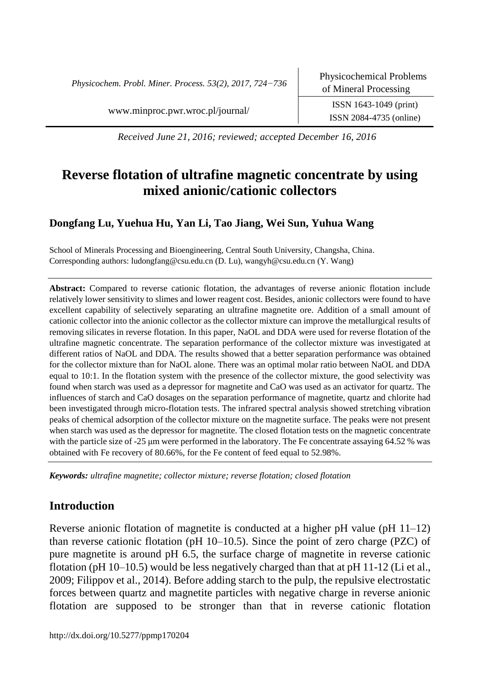*Physicochem. Probl. Miner. Process. 53(2), 2017, 724−736*

www.minproc.pwr.wroc.pl/journal/ ISSN 1643-1049 (print)

ISSN 2084-4735 (online)

*Received June 21, 2016; reviewed; accepted December 16, 2016*

# **Reverse flotation of ultrafine magnetic concentrate by using mixed anionic/cationic collectors**

# **Dongfang Lu, Yuehua Hu, Yan Li, Tao Jiang, Wei Sun, Yuhua Wang**

School of Minerals Processing and Bioengineering, Central South University, Changsha, China. Corresponding authors: ludongfang@csu.edu.cn (D. Lu), wangyh@csu.edu.cn (Y. Wang)

**Abstract:** Compared to reverse cationic flotation, the advantages of reverse anionic flotation include relatively lower sensitivity to slimes and lower reagent cost. Besides, anionic collectors were found to have excellent capability of selectively separating an ultrafine magnetite ore. Addition of a small amount of cationic collector into the anionic collector as the collector mixture can improve the metallurgical results of removing silicates in reverse flotation. In this paper, NaOL and DDA were used for reverse flotation of the ultrafine magnetic concentrate. The separation performance of the collector mixture was investigated at different ratios of NaOL and DDA. The results showed that a better separation performance was obtained for the collector mixture than for NaOL alone. There was an optimal molar ratio between NaOL and DDA equal to 10:1. In the flotation system with the presence of the collector mixture, the good selectivity was found when starch was used as a depressor for magnetite and CaO was used as an activator for quartz. The influences of starch and CaO dosages on the separation performance of magnetite, quartz and chlorite had been investigated through micro-flotation tests. The infrared spectral analysis showed stretching vibration peaks of chemical adsorption of the collector mixture on the magnetite surface. The peaks were not present when starch was used as the depressor for magnetite. The closed flotation tests on the magnetic concentrate with the particle size of -25  $\mu$ m were performed in the laboratory. The Fe concentrate assaying 64.52 % was obtained with Fe recovery of 80.66%, for the Fe content of feed equal to 52.98%.

*Keywords: ultrafine magnetite; collector mixture; reverse flotation[; closed](javascript:void(0);) flotation*

# **Introduction**

Reverse anionic flotation of magnetite is conducted at a higher pH value (pH 11–12) than reverse cationic flotation (pH 10–10.5). Since the point of zero charge (PZC) of pure magnetite is around pH 6.5, the surface charge of magnetite in reverse cationic flotation (pH  $10-10.5$ ) would be less negatively charged than that at pH  $11-12$  (Li et al., 2009; Filippov et al., 2014). Before adding starch to the pulp, the repulsive electrostatic forces between quartz and magnetite particles with negative charge in reverse anionic flotation are supposed to be stronger than that in reverse cationic flotation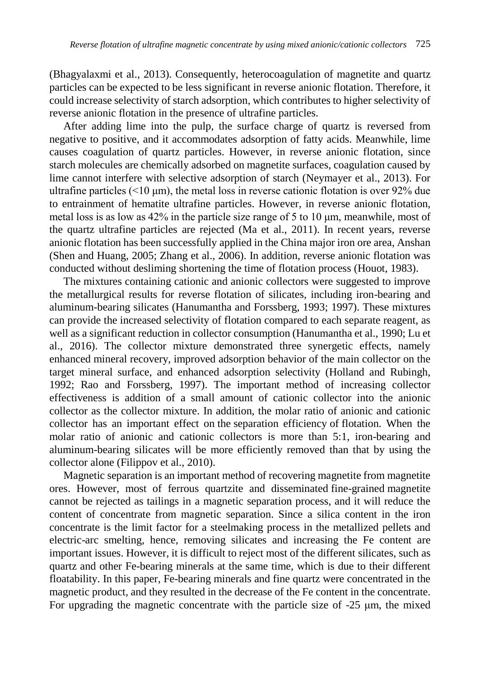(Bhagyalaxmi et al., 2013). Consequently, heterocoagulation of magnetite and quartz particles can be expected to be less significant in reverse anionic flotation. Therefore, it could increase selectivity of starch adsorption, which contributes to higher selectivity of reverse anionic flotation in the presence of ultrafine particles.

After adding lime into the pulp, the surface charge of quartz is reversed from negative to positive, and it accommodates adsorption of fatty acids. Meanwhile, lime causes coagulation of quartz particles. However, in reverse anionic flotation, since starch molecules are chemically adsorbed on magnetite surfaces, coagulation caused by lime cannot interfere with selective adsorption of starch (Neymayer et al., 2013). For ultrafine particles ( $\leq 10 \text{ }\mu\text{m}$ ), the metal loss in reverse cationic flotation is over 92% due to entrainment of hematite ultrafine particles. However, in reverse anionic flotation, metal loss is as low as 42% in the particle size range of 5 to 10 μm, meanwhile, most of the quartz ultrafine particles are rejected (Ma et al., 2011). In recent years, reverse anionic flotation has been successfully applied in the China major iron ore area, Anshan (Shen and Huang, 2005; Zhang et al., 2006). In addition, reverse anionic flotation was conducted without desliming shortening the time of flotation process (Houot, 1983).

The mixtures containing cationic and anionic collectors were suggested to improve the metallurgical results for reverse flotation of silicates, including iron-bearing and [aluminum-](javascript:void(0);)bearing silicates (Hanumantha and Forssberg, 1993; 1997). These mixtures can provide the increased selectivity of flotation compared to each separate reagent, as well as a significant reduction in collector consumption (Hanumantha et al., 1990; Lu et al., 2016). The collector mixture demonstrated three synergetic effects, namely enhanced mineral recovery, improved adsorption behavior of the main collector on the target mineral surface, and enhanced adsorption selectivity (Holland and Rubingh, 1992; Rao and Forssberg, 1997). The important method of increasing collector effectiveness is addition of a small amount of cationic collector into the anionic collector as the collector mixture. In addition, the molar ratio of anionic and cationic collector has an important effect on the separation efficiency of flotation. When the molar ratio of anionic and cationic collectors is more than 5:1, iron-bearing and [aluminum-](javascript:void(0);)bearing silicates will be more efficiently removed than that by using the collector alone (Filippov et al., 2010).

Magnetic separation is an important method of recovering magnetite from magnetite ores. However, most of ferrous quartzite and disseminated fine-grained magnetite cannot be rejected as tailings in a magnetic separation process, and it will reduce the content of concentrate from magnetic separation. Since a silica content in the iron concentrate is the limit factor for a steelmaking process in the metallized pellets and electric-arc smelting, hence, removing silicates and increasing the Fe content are important issues. However, it is difficult to reject most of the different silicates, such as quartz and other Fe-bearing minerals at the same time, which is due to their different floatability. In this paper, Fe-bearing minerals and fine quartz were concentrated in the magnetic product, and they resulted in the decrease of the Fe content in the concentrate. For upgrading the magnetic concentrate with the particle size of -25 μm, the mixed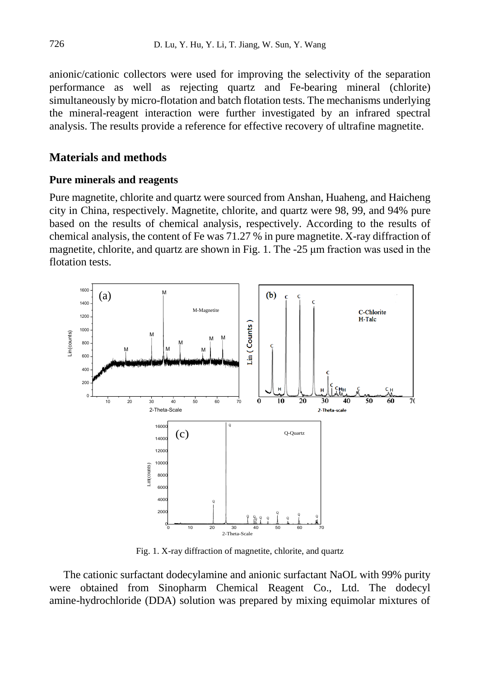anionic/cationic collectors were used for improving the selectivity of the separation performance as well as rejecting quartz and Fe-bearing mineral (chlorite) simultaneously by micro-flotation and batch flotation tests. The mechanisms underlying the mineral-reagent interaction were further investigated by an infrared spectral analysis. The results provide a reference for effective recovery of ultrafine magnetite.

## **Materials and methods**

#### **Pure minerals and reagents**

Pure magnetite, chlorite and quartz were sourced from Anshan, Huaheng, and Haicheng city in China, respectively. Magnetite, chlorite, and quartz were 98, 99, and 94% pure based on the results of chemical analysis, respectively. According to the results of chemical analysis, the content of Fe was 71.27 % in pure magnetite. X-ray diffraction of magnetite, chlorite, and quartz are shown in Fig. 1. The -25 μm fraction was used in the flotation tests.



Fig. 1. X-ray diffraction of magnetite, chlorite, and quartz

The cationic surfactant dodecylamine and anionic surfactant NaOL with 99% purity were obtained from Sinopharm Chemical Reagent Co., Ltd. The dodecyl amine-hydrochloride (DDA) solution was prepared by mixing equimolar mixtures of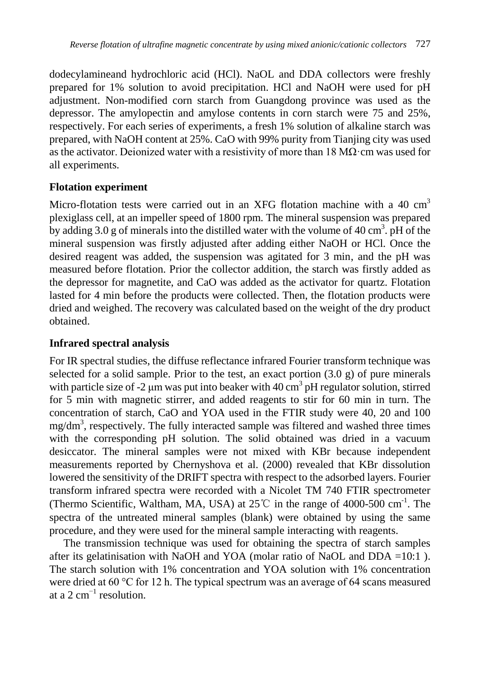dodecylamineand hydrochloric acid (HCl). NaOL and DDA collectors were freshly prepared for 1% solution to avoid precipitation. HCl and NaOH were used for pH adjustment. Non-modified corn starch from Guangdong province was used as the depressor. The amylopectin and amylose contents in corn starch were 75 and 25%, respectively. For each series of experiments, a fresh 1% solution of alkaline starch was prepared, with NaOH content at 25%. CaO with 99% purity from Tianjing city was used as the [activator.](javascript:void(0);) Deionized water with a resistivity of more than  $18 \text{ M}\Omega$  cm was used for all experiments.

## **Flotation experiment**

Micro-flotation tests were carried out in an XFG flotation machine with a 40 cm<sup>3</sup> plexiglass cell, at an impeller speed of 1800 rpm. The mineral suspension was prepared by adding 3.0 g of minerals into the distilled water with the volume of 40 cm<sup>3</sup>. pH of the mineral suspension was firstly adjusted after adding either NaOH or HCl. Once the desired reagent was added, the suspension was agitated for 3 min, and the pH was measured before flotation. Prior the collector addition, the starch was firstly added as the depressor for magnetite, and CaO was added as the activator for quartz. Flotation lasted for 4 min before the products were collected. Then, the flotation products were dried and weighed. The recovery was calculated based on the weight of the dry product obtained.

## **Infrared spectral analysis**

For IR spectral studies, the diffuse reflectance infrared Fourier transform technique was selected for a solid sample. Prior to the test, an exact portion  $(3.0 \text{ g})$  of pure minerals with particle size of -2  $\mu$ m was put into beaker with 40 cm<sup>3</sup> pH regulator solution, stirred for 5 min with magnetic stirrer, and added reagents to stir for 60 min in turn. The concentration of starch, CaO and YOA used in the FTIR study were 40, 20 and 100 mg/dm<sup>3</sup>, respectively. The fully interacted sample was filtered and washed three times with the corresponding pH solution. The solid obtained was dried in a vacuum desiccator. The mineral samples were not mixed with KBr because independent measurements reported by Chernyshova et al. (2000) revealed that KBr dissolution lowered the sensitivity of the DRIFT spectra with respect to the adsorbed layers. Fourier transform infrared spectra were recorded with a Nicolet TM 740 FTIR spectrometer (Thermo Scientific, Waltham, MA, USA) at  $25^{\circ}$  in the range of 4000-500 cm<sup>-1</sup>. The spectra of the untreated mineral samples (blank) were obtained by using the same procedure, and they were used for the mineral sample interacting with reagents.

The transmission technique was used for obtaining the spectra of starch samples after its gelatinisation with NaOH and YOA (molar ratio of NaOL and DDA  $=10:1$ ). The starch solution with 1% concentration and YOA solution with 1% concentration were dried at 60 °C for 12 h. The typical spectrum was an average of 64 scans measured at a 2  $cm^{-1}$  resolution.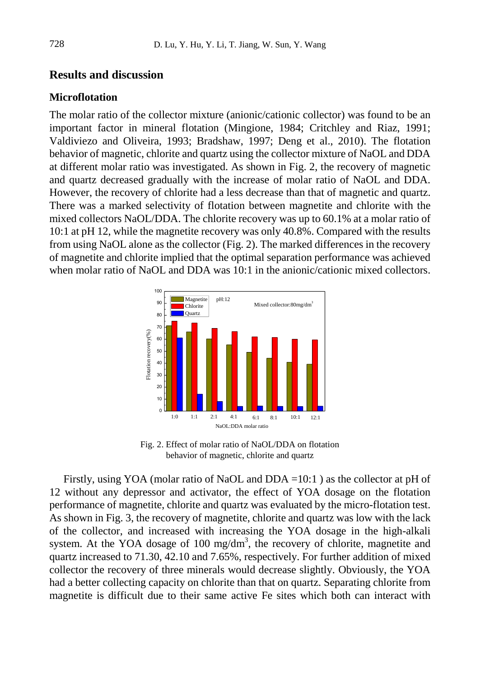## **Results and discussion**

#### **Microflotation**

The molar ratio of the collector mixture (anionic/cationic collector) was found to be an important factor in mineral flotation (Mingione, 1984; Critchley and Riaz, 1991; Valdiviezo and Oliveira, 1993; Bradshaw, 1997; Deng et al., 2010). The flotation behavior of magnetic, chlorite and quartz using the collector mixture of NaOL and DDA at different molar ratio was investigated. As shown in Fig. 2, the recovery of magnetic and quartz decreased gradually with the increase of molar ratio of NaOL and DDA. However, the recovery of chlorite had a less decrease than that of magnetic and quartz. There was a marked selectivity of flotation between magnetite and chlorite with the mixed collectors NaOL/DDA. The chlorite recovery was up to 60.1% at a molar ratio of 10:1 at pH 12, while the magnetite recovery was only 40.8%. Compared with the results from using NaOL alone as the collector (Fig. 2). The marked differences in the recovery of magnetite and chlorite implied that the optimal separation performance was achieved when molar ratio of NaOL and DDA was 10:1 in the anionic/cationic mixed collectors.



Fig. 2. Effect of molar ratio of NaOL/DDA on flotation behavior of magnetic, chlorite and quartz

Firstly, using YOA (molar ratio of NaOL and DDA =10:1 ) as the collector at pH of 12 without any depressor and [activator,](javascript:void(0);) the effect of YOA dosage on the flotation performance of magnetite, chlorite and quartz was evaluated by the micro-flotation test. As shown in Fig. 3, the recovery of magnetite, chlorite and quartz was low with the lack of the collector, and increased with increasing the YOA dosage in the high-alkali system. At the YOA dosage of 100 mg/dm<sup>3</sup>, the recovery of chlorite, magnetite and quartz increased to 71.30, 42.10 and 7.65%, respectively. For further addition of mixed collector the recovery of three minerals would decrease slightly. Obviously, the YOA had a better collecting capacity on chlorite than that on quartz. Separating chlorite from magnetite is difficult due to their same active Fe sites which both can interact with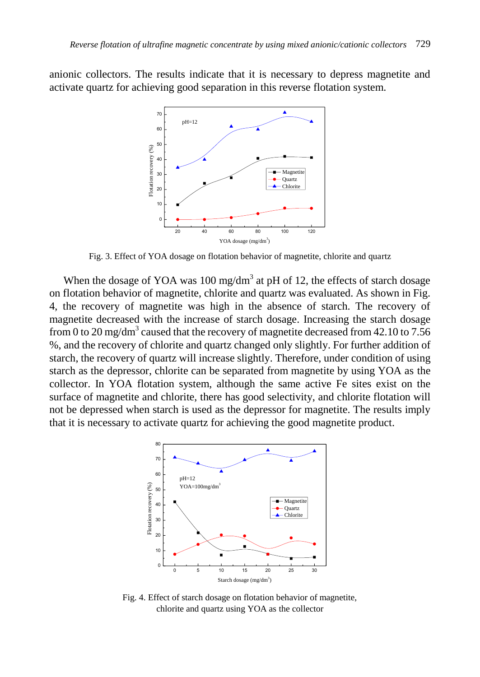anionic collectors. The results indicate that it is necessary to depress magnetite and activate quartz for achieving good separation in this reverse flotation system.



Fig. 3. Effect of YOA dosage on flotation behavior of magnetite, chlorite and quartz

When the dosage of YOA was  $100 \text{ mg/dm}^3$  at pH of 12, the effects of starch dosage on flotation behavior of magnetite, chlorite and quartz was evaluated. As shown in Fig. 4, the recovery of magnetite was high in the absence of starch. The recovery of magnetite decreased with the increase of starch dosage. Increasing the starch dosage from 0 to 20 mg/dm $^3$  caused that the recovery of magnetite decreased from 42.10 to 7.56 %, and the recovery of chlorite and quartz changed only slightly. For further addition of starch, the recovery of quartz will increase slightly. Therefore, under condition of using starch as the depressor, chlorite can be separated from magnetite by using YOA as the collector. In YOA flotation system, although the same active Fe sites exist on the surface of magnetite and chlorite, there has good selectivity, and chlorite flotation will not be depressed when starch is used as the depressor for magnetite. The results imply that it is necessary to activate quartz for achieving the good magnetite product.



Fig. 4. Effect of starch dosage on flotation behavior of magnetite, chlorite and quartz using YOA as the collector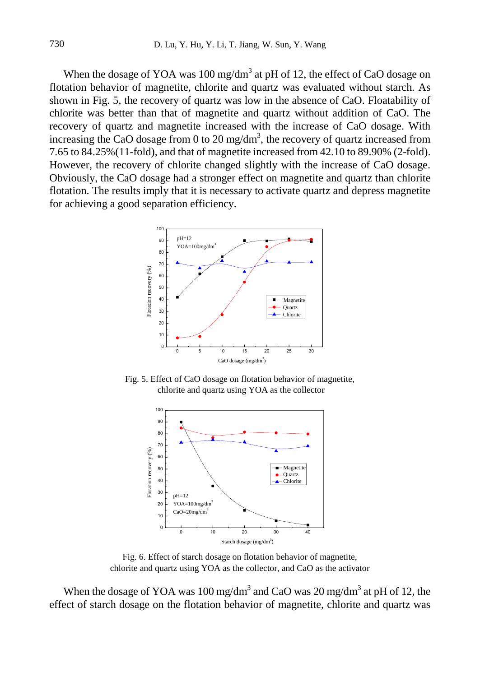When the dosage of YOA was  $100 \text{ mg/dm}^3$  at pH of 12, the effect of CaO dosage on flotation behavior of magnetite, chlorite and quartz was evaluated without starch. As shown in Fig. 5, the recovery of quartz was low in the absence of CaO. Floatability of chlorite was better than that of magnetite and quartz without addition of CaO. The recovery of quartz and magnetite increased with the increase of CaO dosage. With increasing the CaO dosage from 0 to 20 mg/dm<sup>3</sup>, the recovery of quartz increased from 7.65 to 84.25%(11-fold), and that of magnetite increased from 42.10 to 89.90% (2-fold). However, the recovery of chlorite changed slightly with the increase of CaO dosage. Obviously, the CaO dosage had a stronger effect on magnetite and quartz than chlorite flotation. The results imply that it is necessary to activate quartz and depress magnetite for achieving a good separation efficiency.



Fig. 5. Effect of CaO dosage on flotation behavior of magnetite, chlorite and quartz using YOA as the collector



Fig. 6. Effect of starch dosage on flotation behavior of magnetite, chlorite and quartz using YOA as the collector, and CaO as the activator

When the dosage of YOA was 100 mg/dm<sup>3</sup> and CaO was 20 mg/dm<sup>3</sup> at pH of 12, the effect of starch dosage on the flotation behavior of magnetite, chlorite and quartz was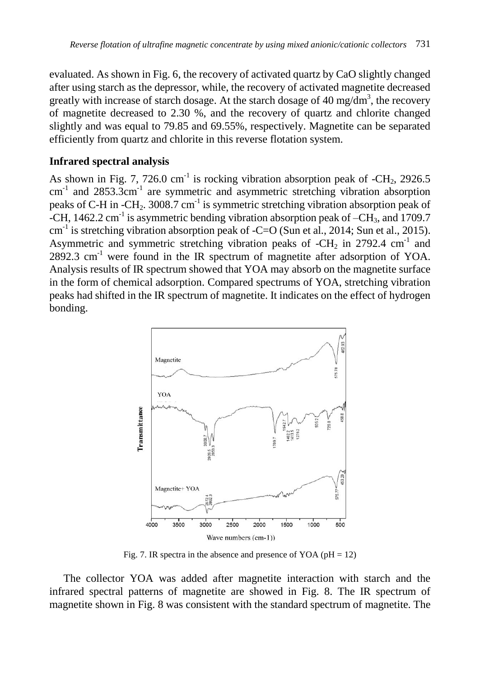evaluated. As shown in Fig. 6, the recovery of activated quartz by CaO slightly changed after using starch as the depressor, while, the recovery of activated magnetite decreased greatly with increase of starch dosage. At the starch dosage of 40 mg/dm<sup>3</sup>, the recovery of magnetite decreased to 2.30 %, and the recovery of quartz and chlorite changed slightly and was equal to 79.85 and 69.55%, respectively. Magnetite can be separated efficiently from quartz and chlorite in this reverse flotation system.

## **Infrared spectral analysis**

As shown in Fig. 7, 726.0  $cm^{-1}$  is rocking vibration absorption peak of  $-CH_2$ , 2926.5  $\text{cm}^{-1}$  and 2853.3cm<sup>-1</sup> are symmetric and asymmetric stretching vibration absorption peaks of C-H in -CH<sub>2</sub>. 3008.7 cm<sup>-1</sup> is symmetric stretching vibration absorption peak of -CH, 1462.2 cm<sup>-1</sup> is asymmetric bending vibration absorption peak of  $-CH_3$ , and 1709.7 cm<sup>-1</sup> is stretching vibration absorption peak of -C=O (Sun et al., 2014; Sun et al., 2015). Asymmetric and symmetric stretching vibration peaks of  $-CH_2$  in 2792.4 cm<sup>-1</sup> and 2892.3 cm<sup>-1</sup> were found in the IR spectrum of magnetite after adsorption of YOA. Analysis results of IR spectrum showed that YOA may absorb on the magnetite surface in the form of chemical adsorption. Compared spectrums of YOA, stretching vibration peaks had shifted in the IR spectrum of magnetite. It indicates on the effect of hydrogen bonding.



Fig. 7. IR spectra in the absence and presence of YOA ( $pH = 12$ )

The collector YOA was added after magnetite interaction with starch and the infrared spectral patterns of magnetite are showed in Fig. 8. The IR spectrum of magnetite shown in Fig. 8 was consistent with the standard spectrum of magnetite. The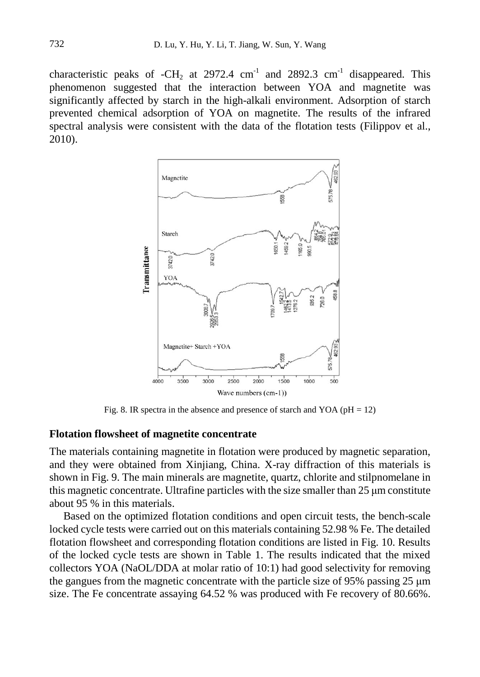characteristic peaks of  $-CH_2$  at 2972.4 cm<sup>-1</sup> and 2892.3 cm<sup>-1</sup> disappeared. This phenomenon suggested that the interaction between YOA and magnetite was significantly affected by starch in the high-alkali environment. Adsorption of starch prevented chemical adsorption of YOA on magnetite. The results of the infrared spectral analysis were consistent with the data of the flotation tests (Filippov et al., 2010).



Fig. 8. IR spectra in the absence and presence of starch and YOA ( $pH = 12$ )

#### **Flotation flowsheet of magnetite concentrate**

The materials containing magnetite in flotation were produced by magnetic separation, and they were obtained from Xinjiang, China. X-ray diffraction of this materials is shown in Fig. 9. The main minerals are magnetite, quartz, chlorite and stilpnomelane in this magnetic concentrate. Ultrafine particles with the size smaller than  $25 \mu m$  constitute about 95 % in this materials.

Based on the optimized flotation conditions and open circuit tests, the bench-scale locked cycle tests were carried out on this materials containing 52.98 % Fe. The detailed flotation flowsheet and corresponding flotation conditions are listed in Fig. 10. Results of the locked cycle tests are shown in Table 1. The results indicated that the mixed collectors YOA (NaOL/DDA at molar ratio of 10:1) had good selectivity for removing the gangues from the magnetic concentrate with the particle size of 95% passing 25 μm size. The Fe concentrate assaying 64.52 % was produced with Fe recovery of 80.66%.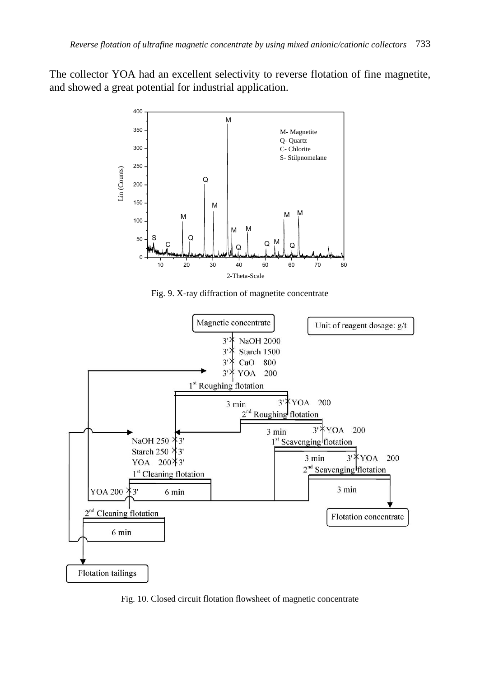The collector YOA had an excellent selectivity to reverse flotation of fine magnetite, and showed a great potential for industrial application.



Fig. 9. X-ray diffraction of magnetite concentrate



Fig. 10. Closed circuit flotation flowsheet of magnetic concentrate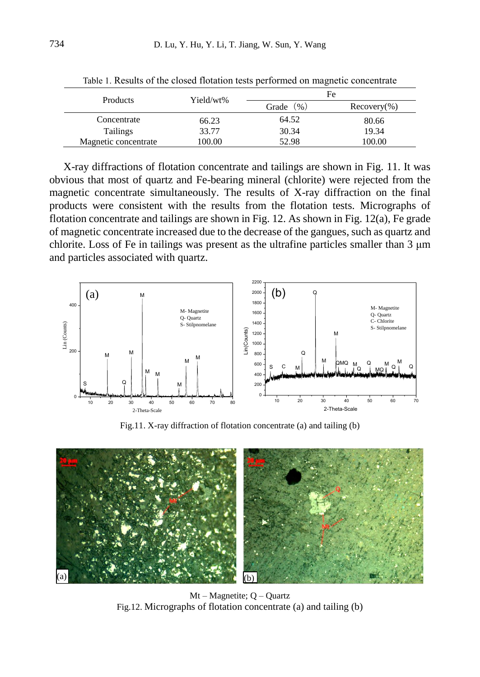| Products             | Yield/wt% | Fe            |                 |
|----------------------|-----------|---------------|-----------------|
|                      |           | (96)<br>Grade | $Recovery(\% )$ |
| Concentrate          | 66.23     | 64.52         | 80.66           |
| <b>Tailings</b>      | 33.77     | 30.34         | 19.34           |
| Magnetic concentrate | 100.00    | 52.98         | 100.00          |

Table 1. Results of the closed flotation tests performed on magnetic concentrate

X-ray diffractions of flotation concentrate and tailings are shown in Fig. 11. It was obvious that most of quartz and Fe-bearing mineral (chlorite) were rejected from the magnetic concentrate simultaneously. The results of X-ray diffraction on the final products were consistent with the results from the flotation tests. Micrographs of flotation concentrate and tailings are shown in Fig. 12. As shown in Fig. 12(a), Fe grade of magnetic concentrate increased due to the decrease of the gangues, such as quartz and chlorite. Loss of Fe in tailings was present as the ultrafine particles smaller than 3 μm and particles associated with quartz.



Fig.11. X-ray diffraction of flotation concentrate (a) and tailing (b)



Mt – Magnetite; Q – Quartz Fig.12. Micrographs of flotation concentrate (a) and tailing (b)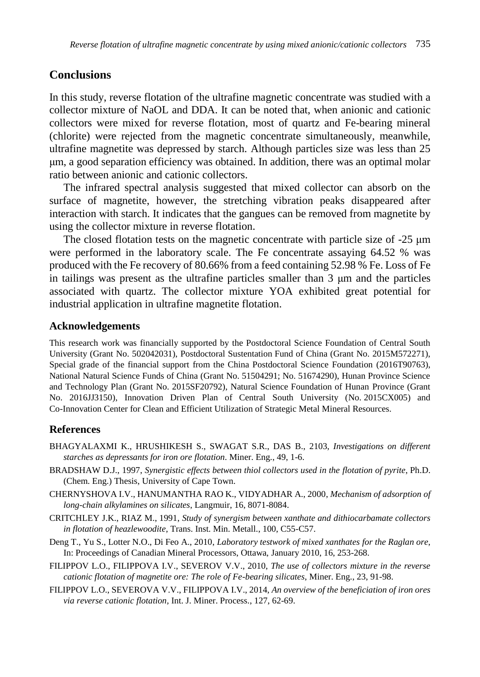## **Conclusions**

In this study, reverse flotation of the ultrafine magnetic concentrate was studied with a collector mixture of NaOL and DDA. It can be noted that, when anionic and cationic collectors were mixed for reverse flotation, most of quartz and Fe-bearing mineral (chlorite) were rejected from the magnetic concentrate simultaneously, meanwhile, ultrafine magnetite was depressed by starch. Although particles size was less than 25 μm, a good separation efficiency was obtained. In addition, there was an optimal molar ratio between anionic and cationic collectors.

The infrared spectral analysis suggested that mixed collector can absorb on the surface of magnetite, however, the stretching vibration peaks disappeared after interaction with starch. It indicates that the gangues can be removed from magnetite by using the collector mixture in reverse flotation.

The closed flotation tests on the magnetic concentrate with particle size of -25 μm were performed in the laboratory scale. The Fe concentrate assaying 64.52 % was produced with the Fe recovery of 80.66% from a feed containing 52.98 % Fe. Loss of Fe in tailings was present as the ultrafine particles smaller than 3 μm and the particles associated with quartz. The collector mixture YOA exhibited great potential for industrial application in ultrafine magnetite flotation.

#### **Acknowledgements**

This research work was financially supported by the Postdoctoral Science Foundation of Central South University (Grant No. 502042031), Postdoctoral Sustentation Fund of China (Grant No. 2015M572271), Special grade of the financial support from the China Postdoctoral Science Foundation (2016T90763), National Natural Science Funds of China (Grant No. 51504291; No. 51674290), Hunan Province Science and Technology Plan (Grant No. 2015SF20792), Natural Science Foundation of Hunan Province (Grant No. 2016JJ3150), Innovation Driven Plan of Central South University (No. 2015CX005) and Co-Innovation Center for Clean and Efficient Utilization of Strategic Metal Mineral Resources.

#### **References**

- BHAGYALAXMI K., HRUSHIKESH S., SWAGAT S.R., DAS B., 2103, *Investigations on different starches as depressants for iron ore flotation*. Miner. Eng., 49, 1-6.
- BRADSHAW D.J., 1997, *Synergistic effects between thiol collectors used in the flotation of pyrite*, Ph.D. (Chem. Eng.) Thesis, University of Cape Town.
- CHERNYSHOVA I.V., HANUMANTHA RAO K., VIDYADHAR A., 2000, *Mechanism of adsorption of long-chain alkylamines on silicates*, Langmuir, 16, 8071-8084.
- CRITCHLEY J.K., RIAZ M., 1991, *Study of synergism between xanthate and dithiocarbamate collectors in flotation of heazlewoodite*, Trans. Inst. Min. Metall., 100, C55-C57.
- Deng T., Yu S., Lotter N.O., Di Feo A., 2010, *Laboratory testwork of mixed xanthates for the Raglan ore*, In: Proceedings of Canadian Mineral Processors, Ottawa, January 2010, 16, 253-268.
- FILIPPOV L.O., FILIPPOVA I.V., SEVEROV V.V., 2010, *The use of collectors mixture in the reverse cationic flotation of magnetite ore: The role of Fe-bearing silicates*, Miner. Eng., 23, 91-98.
- FILIPPOV L.O., SEVEROVA V.V., FILIPPOVA I.V., 2014, *An overview of the beneficiation of iron ores via reverse cationic flotation,* Int. J. Miner. Process., 127, 62-69.